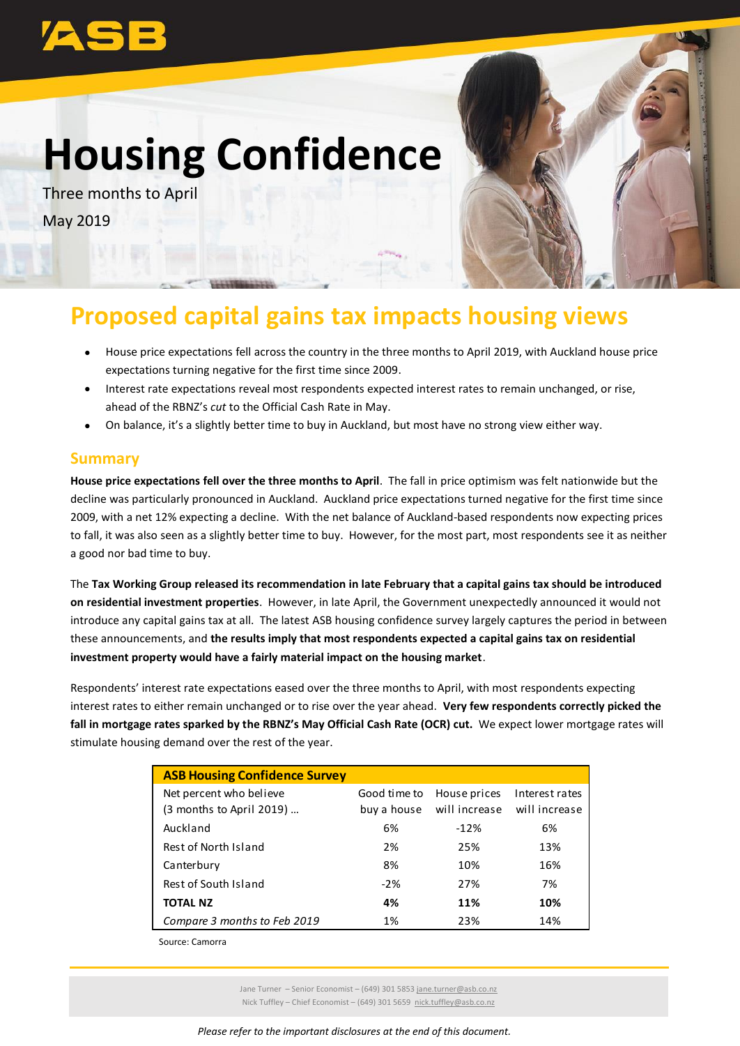# **Housing Confidence**

Three months to April May 2019



## **Proposed capital gains tax impacts housing views**

- House price expectations fell across the country in the three months to April 2019, with Auckland house price expectations turning negative for the first time since 2009.
- Interest rate expectations reveal most respondents expected interest rates to remain unchanged, or rise, ahead of the RBNZ's *cut* to the Official Cash Rate in May.
- On balance, it's a slightly better time to buy in Auckland, but most have no strong view either way.

#### **Summary**

**House price expectations fell over the three months to April**. The fall in price optimism was felt nationwide but the decline was particularly pronounced in Auckland. Auckland price expectations turned negative for the first time since 2009, with a net 12% expecting a decline. With the net balance of Auckland-based respondents now expecting prices to fall, it was also seen as a slightly better time to buy. However, for the most part, most respondents see it as neither a good nor bad time to buy.

The **Tax Working Group released its recommendation in late February that a capital gains tax should be introduced on residential investment properties**. However, in late April, the Government unexpectedly announced it would not introduce any capital gains tax at all. The latest ASB housing confidence survey largely captures the period in between these announcements, and **the results imply that most respondents expected a capital gains tax on residential investment property would have a fairly material impact on the housing market**.

Respondents' interest rate expectations eased over the three months to April, with most respondents expecting interest rates to either remain unchanged or to rise over the year ahead. **Very few respondents correctly picked the fall in mortgage rates sparked by the RBNZ's May Official Cash Rate (OCR) cut.** We expect lower mortgage rates will stimulate housing demand over the rest of the year.

| <b>ASB Housing Confidence Survey</b> |              |               |                |
|--------------------------------------|--------------|---------------|----------------|
| Net percent who believe              | Good time to | House prices  | Interest rates |
| (3 months to April 2019)             | buy a house  | will increase | will increase  |
| Auckland                             | 6%           | $-12%$        | 6%             |
| Rest of North Island                 | 2%           | 25%           | 13%            |
| Canterbury                           | 8%           | 10%           | 16%            |
| Rest of South Island                 | $-2%$        | 27%           | 7%             |
| <b>TOTAL NZ</b>                      | 4%           | 11%           | 10%            |
| Compare 3 months to Feb 2019         | 1%           | 23%           | 14%            |
|                                      |              |               |                |

Source: Camorra

Jane Turner – Senior Economist – (649) 301 5853 [jane.turner@asb.co.nz](mailto:jane.turner@asb.co.nz) Nick Tuffley – Chief Economist – (649) 301 5659 [nick.tuffley@asb.co.nz](mailto:nick.tuffley@asb.co.nz)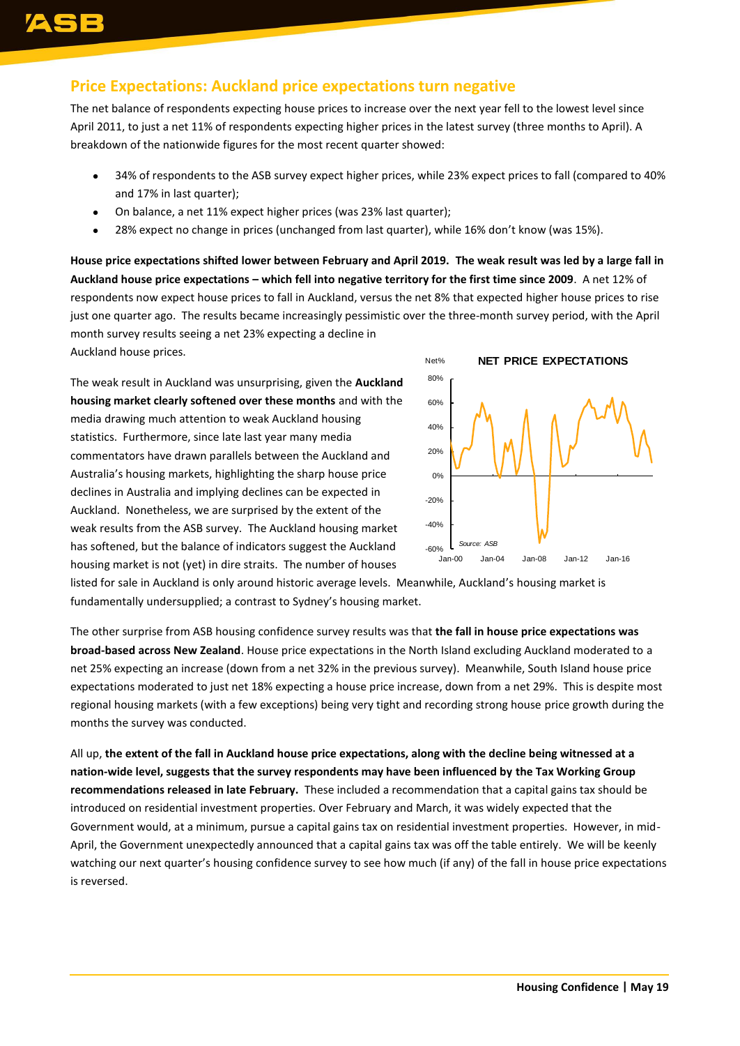## **Price Expectations: Auckland price expectations turn negative**

The net balance of respondents expecting house prices to increase over the next year fell to the lowest level since April 2011, to just a net 11% of respondents expecting higher prices in the latest survey (three months to April). A breakdown of the nationwide figures for the most recent quarter showed:

- 34% of respondents to the ASB survey expect higher prices, while 23% expect prices to fall (compared to 40% and 17% in last quarter);
- On balance, a net 11% expect higher prices (was 23% last quarter);
- 28% expect no change in prices (unchanged from last quarter), while 16% don't know (was 15%).

**House price expectations shifted lower between February and April 2019. The weak result was led by a large fall in Auckland house price expectations – which fell into negative territory for the first time since 2009**. A net 12% of respondents now expect house prices to fall in Auckland, versus the net 8% that expected higher house prices to rise just one quarter ago. The results became increasingly pessimistic over the three-month survey period, with the April month survey results seeing a net 23% expecting a decline in

Auckland house prices.

The weak result in Auckland was unsurprising, given the **Auckland housing market clearly softened over these months** and with the media drawing much attention to weak Auckland housing statistics. Furthermore, since late last year many media commentators have drawn parallels between the Auckland and Australia's housing markets, highlighting the sharp house price declines in Australia and implying declines can be expected in Auckland. Nonetheless, we are surprised by the extent of the weak results from the ASB survey. The Auckland housing market has softened, but the balance of indicators suggest the Auckland housing market is not (yet) in dire straits. The number of houses



listed for sale in Auckland is only around historic average levels. Meanwhile, Auckland's housing market is fundamentally undersupplied; a contrast to Sydney's housing market.

The other surprise from ASB housing confidence survey results was that **the fall in house price expectations was broad-based across New Zealand**. House price expectations in the North Island excluding Auckland moderated to a net 25% expecting an increase (down from a net 32% in the previous survey). Meanwhile, South Island house price expectations moderated to just net 18% expecting a house price increase, down from a net 29%. This is despite most regional housing markets (with a few exceptions) being very tight and recording strong house price growth during the months the survey was conducted.

All up, **the extent of the fall in Auckland house price expectations, along with the decline being witnessed at a nation-wide level, suggests that the survey respondents may have been influenced by the Tax Working Group recommendations released in late February.** These included a recommendation that a capital gains tax should be introduced on residential investment properties. Over February and March, it was widely expected that the Government would, at a minimum, pursue a capital gains tax on residential investment properties. However, in mid-April, the Government unexpectedly announced that a capital gains tax was off the table entirely. We will be keenly watching our next quarter's housing confidence survey to see how much (if any) of the fall in house price expectations is reversed.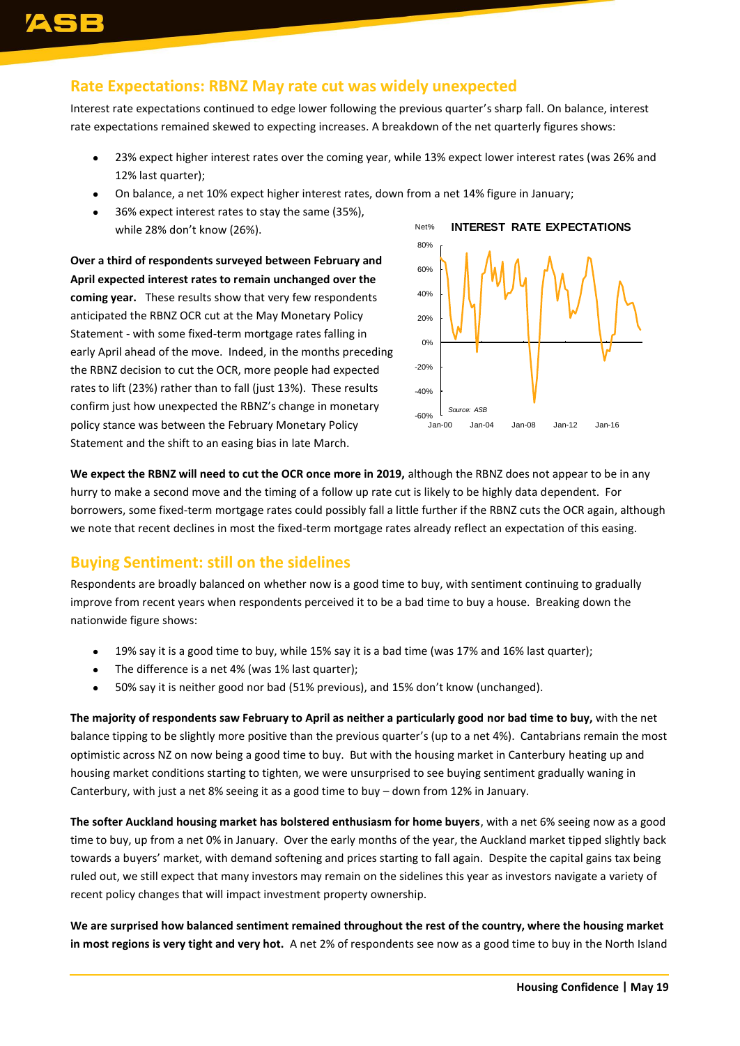#### **Rate Expectations: RBNZ May rate cut was widely unexpected**

Interest rate expectations continued to edge lower following the previous quarter's sharp fall. On balance, interest rate expectations remained skewed to expecting increases. A breakdown of the net quarterly figures shows:

- 23% expect higher interest rates over the coming year, while 13% expect lower interest rates (was 26% and 12% last quarter);
- On balance, a net 10% expect higher interest rates, down from a net 14% figure in January;
- 36% expect interest rates to stay the same (35%), while 28% don't know (26%).

**Over a third of respondents surveyed between February and April expected interest rates to remain unchanged over the coming year.** These results show that very few respondents anticipated the RBNZ OCR cut at the May Monetary Policy Statement - with some fixed-term mortgage rates falling in early April ahead of the move. Indeed, in the months preceding the RBNZ decision to cut the OCR, more people had expected rates to lift (23%) rather than to fall (just 13%). These results confirm just how unexpected the RBNZ's change in monetary policy stance was between the February Monetary Policy Statement and the shift to an easing bias in late March.



**We expect the RBNZ will need to cut the OCR once more in 2019,** although the RBNZ does not appear to be in any hurry to make a second move and the timing of a follow up rate cut is likely to be highly data dependent. For borrowers, some fixed-term mortgage rates could possibly fall a little further if the RBNZ cuts the OCR again, although we note that recent declines in most the fixed-term mortgage rates already reflect an expectation of this easing.

## **Buying Sentiment: still on the sidelines**

Respondents are broadly balanced on whether now is a good time to buy, with sentiment continuing to gradually improve from recent years when respondents perceived it to be a bad time to buy a house. Breaking down the nationwide figure shows:

- 19% say it is a good time to buy, while 15% say it is a bad time (was 17% and 16% last quarter);
- The difference is a net 4% (was 1% last quarter);
- 50% say it is neither good nor bad (51% previous), and 15% don't know (unchanged).

**The majority of respondents saw February to April as neither a particularly good nor bad time to buy,** with the net balance tipping to be slightly more positive than the previous quarter's (up to a net 4%). Cantabrians remain the most optimistic across NZ on now being a good time to buy. But with the housing market in Canterbury heating up and housing market conditions starting to tighten, we were unsurprised to see buying sentiment gradually waning in Canterbury, with just a net 8% seeing it as a good time to buy – down from 12% in January.

**The softer Auckland housing market has bolstered enthusiasm for home buyers**, with a net 6% seeing now as a good time to buy, up from a net 0% in January. Over the early months of the year, the Auckland market tipped slightly back towards a buyers' market, with demand softening and prices starting to fall again. Despite the capital gains tax being ruled out, we still expect that many investors may remain on the sidelines this year as investors navigate a variety of recent policy changes that will impact investment property ownership.

**We are surprised how balanced sentiment remained throughout the rest of the country, where the housing market in most regions is very tight and very hot.** A net 2% of respondents see now as a good time to buy in the North Island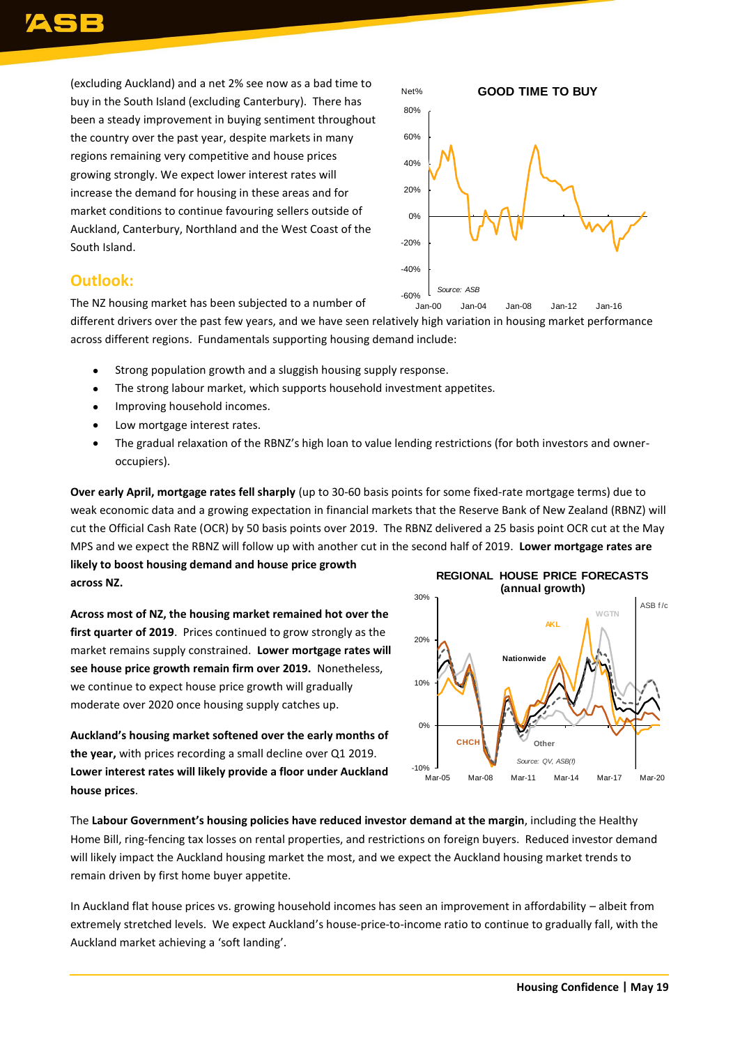(excluding Auckland) and a net 2% see now as a bad time to buy in the South Island (excluding Canterbury). There has been a steady improvement in buying sentiment throughout the country over the past year, despite markets in many regions remaining very competitive and house prices growing strongly. We expect lower interest rates will increase the demand for housing in these areas and for market conditions to continue favouring sellers outside of Auckland, Canterbury, Northland and the West Coast of the South Island.



#### **Outlook:**

The NZ housing market has been subjected to a number of

different drivers over the past few years, and we have seen relatively high variation in housing market performance across different regions. Fundamentals supporting housing demand include:

- Strong population growth and a sluggish housing supply response.
- The strong labour market, which supports household investment appetites.
- **•** Improving household incomes.
- Low mortgage interest rates.
- The gradual relaxation of the RBNZ's high loan to value lending restrictions (for both investors and owneroccupiers).

**Over early April, mortgage rates fell sharply** (up to 30-60 basis points for some fixed-rate mortgage terms) due to weak economic data and a growing expectation in financial markets that the Reserve Bank of New Zealand (RBNZ) will cut the Official Cash Rate (OCR) by 50 basis points over 2019. The RBNZ delivered a 25 basis point OCR cut at the May MPS and we expect the RBNZ will follow up with another cut in the second half of 2019. **Lower mortgage rates are likely to boost housing demand and house price growth** 

**across NZ.** 

**Across most of NZ, the housing market remained hot over the first quarter of 2019**. Prices continued to grow strongly as the market remains supply constrained. **Lower mortgage rates will see house price growth remain firm over 2019.** Nonetheless, we continue to expect house price growth will gradually moderate over 2020 once housing supply catches up.

**Auckland's housing market softened over the early months of the year,** with prices recording a small decline over Q1 2019. **Lower interest rates will likely provide a floor under Auckland house prices**.



The **Labour Government's housing policies have reduced investor demand at the margin**, including the Healthy Home Bill, ring-fencing tax losses on rental properties, and restrictions on foreign buyers. Reduced investor demand will likely impact the Auckland housing market the most, and we expect the Auckland housing market trends to remain driven by first home buyer appetite.

In Auckland flat house prices vs. growing household incomes has seen an improvement in affordability – albeit from extremely stretched levels. We expect Auckland's house-price-to-income ratio to continue to gradually fall, with the Auckland market achieving a 'soft landing'.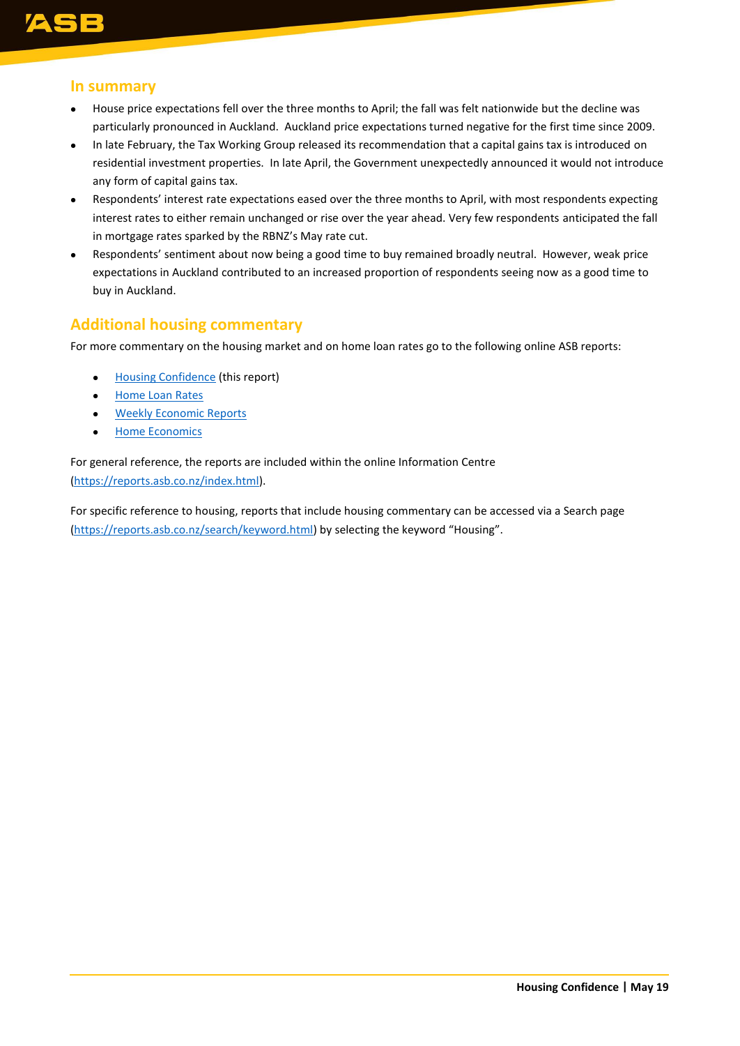

#### **In summary**

- House price expectations fell over the three months to April; the fall was felt nationwide but the decline was particularly pronounced in Auckland. Auckland price expectations turned negative for the first time since 2009.
- In late February, the Tax Working Group released its recommendation that a capital gains tax is introduced on residential investment properties. In late April, the Government unexpectedly announced it would not introduce any form of capital gains tax.
- Respondents' interest rate expectations eased over the three months to April, with most respondents expecting interest rates to either remain unchanged or rise over the year ahead. Very few respondents anticipated the fall in mortgage rates sparked by the RBNZ's May rate cut.
- Respondents' sentiment about now being a good time to buy remained broadly neutral. However, weak price expectations in Auckland contributed to an increased proportion of respondents seeing now as a good time to buy in Auckland.

## **Additional housing commentary**

For more commentary on the housing market and on home loan rates go to the following online ASB reports:

- [Housing Confidence](https://www.asb.co.nz/documents/economic-research/housing-confidence.html) (this report)
- [Home Loan Rates](https://www.asb.co.nz/documents/economic-research/home-loan-rate-report.html)
- [Weekly Economic Reports](https://www.asb.co.nz/documents/economic-research/economic-weekly.html)
- [Home Economics](https://www.asb.co.nz/documents/economic-research/home-economics.html)

For general reference, the reports are included within the online Information Centre [\(https://reports.asb.co.nz/index.html\)](https://reports.asb.co.nz/index.html).

For specific reference to housing, reports that include housing commentary can be accessed via a Search page [\(https://reports.asb.co.nz/search/keyword.html\)](https://reports.asb.co.nz/search/keyword.html) by selecting the keyword "Housing".